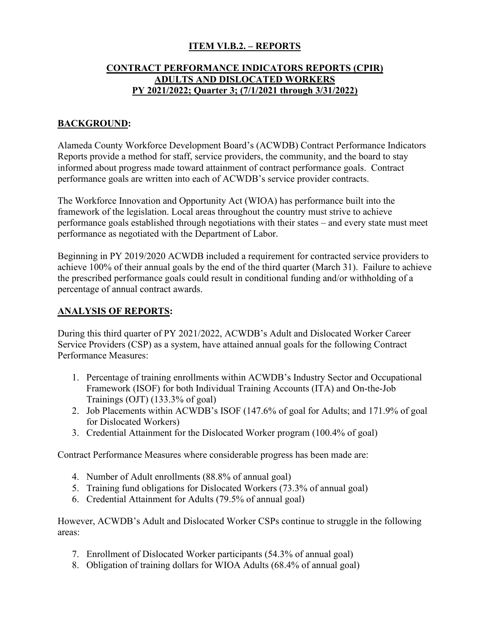### **ITEM VI.B.2. – REPORTS**

### **CONTRACT PERFORMANCE INDICATORS REPORTS (CPIR) ADULTS AND DISLOCATED WORKERS PY 2021/2022; Quarter 3; (7/1/2021 through 3/31/2022)**

# **BACKGROUND:**

Alameda County Workforce Development Board's (ACWDB) Contract Performance Indicators Reports provide a method for staff, service providers, the community, and the board to stay informed about progress made toward attainment of contract performance goals. Contract performance goals are written into each of ACWDB's service provider contracts.

The Workforce Innovation and Opportunity Act (WIOA) has performance built into the framework of the legislation. Local areas throughout the country must strive to achieve performance goals established through negotiations with their states – and every state must meet performance as negotiated with the Department of Labor.

Beginning in PY 2019/2020 ACWDB included a requirement for contracted service providers to achieve 100% of their annual goals by the end of the third quarter (March 31). Failure to achieve the prescribed performance goals could result in conditional funding and/or withholding of a percentage of annual contract awards.

#### **ANALYSIS OF REPORTS:**

During this third quarter of PY 2021/2022, ACWDB's Adult and Dislocated Worker Career Service Providers (CSP) as a system, have attained annual goals for the following Contract Performance Measures:

- 1. Percentage of training enrollments within ACWDB's Industry Sector and Occupational Framework (ISOF) for both Individual Training Accounts (ITA) and On-the-Job Trainings (OJT) (133.3% of goal)
- 2. Job Placements within ACWDB's ISOF (147.6% of goal for Adults; and 171.9% of goal for Dislocated Workers)
- 3. Credential Attainment for the Dislocated Worker program (100.4% of goal)

Contract Performance Measures where considerable progress has been made are:

- 4. Number of Adult enrollments (88.8% of annual goal)
- 5. Training fund obligations for Dislocated Workers (73.3% of annual goal)
- 6. Credential Attainment for Adults (79.5% of annual goal)

However, ACWDB's Adult and Dislocated Worker CSPs continue to struggle in the following areas:

- 7. Enrollment of Dislocated Worker participants (54.3% of annual goal)
- 8. Obligation of training dollars for WIOA Adults (68.4% of annual goal)